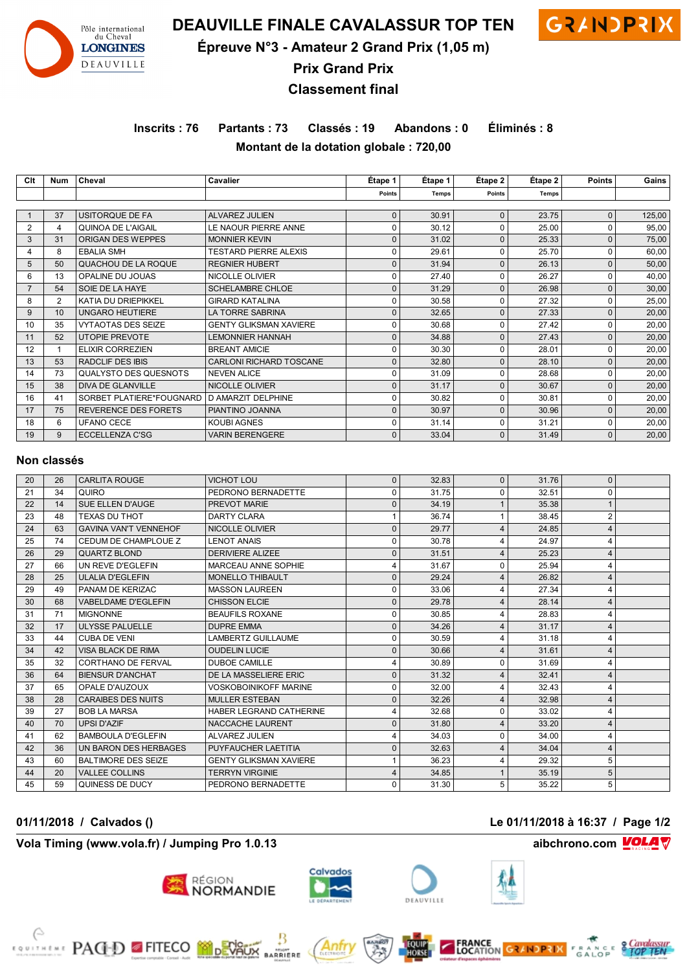

**DEAUVILLE FINALE CAVALASSUR TOP TEN GRAINDPRIX** 



**Épreuve N°3 - Amateur 2 Grand Prix (1,05 m)**

**Prix Grand Prix**

**Classement final**

**Inscrits : 76 Partants : 73 Classés : 19 Abandons : 0 Éliminés : 8 Montant de la dotation globale : 720,00**

| Clt            | Num | Cheval                      | Cavalier                       | Étape 1      | Étape 1      | Étape 2      | Etape 2 | <b>Points</b> | Gains  |
|----------------|-----|-----------------------------|--------------------------------|--------------|--------------|--------------|---------|---------------|--------|
|                |     |                             |                                | Points       | <b>Temps</b> | Points       | Temps   |               |        |
|                |     |                             |                                |              |              |              |         |               |        |
|                | 37  | USITORQUE DE FA             | <b>ALVAREZ JULIEN</b>          | $\mathbf{0}$ | 30.91        | $\mathbf{0}$ | 23.75   | 0             | 125,00 |
| $\overline{2}$ | 4   | QUINOA DE L'AIGAIL          | LE NAOUR PIERRE ANNE           | $\Omega$     | 30.12        | $\Omega$     | 25.00   | 0             | 95,00  |
| 3              | 31  | ORIGAN DES WEPPES           | <b>MONNIER KEVIN</b>           | $\mathbf{0}$ | 31.02        | O            | 25.33   | 0             | 75,00  |
| 4              | 8   | <b>EBALIA SMH</b>           | <b>TESTARD PIERRE ALEXIS</b>   | $\Omega$     | 29.61        |              | 25.70   | 0             | 60,00  |
| 5              | 50  | QUACHOU DE LA ROQUE         | <b>REGNIER HUBERT</b>          | $\Omega$     | 31.94        |              | 26.13   | 0             | 50,00  |
| 6              | 13  | OPALINE DU JOUAS            | NICOLLE OLIVIER                | $\Omega$     | 27.40        | U            | 26.27   | 0             | 40,00  |
|                | 54  | SOIE DE LA HAYE             | <b>SCHELAMBRE CHLOE</b>        | $\mathbf{0}$ | 31.29        | $\Omega$     | 26.98   | 0             | 30,00  |
| 8              | 2   | KATIA DU DRIEPIKKEL         | <b>GIRARD KATALINA</b>         | $\Omega$     | 30.58        | 0            | 27.32   | 0             | 25,00  |
| 9              | 10  | <b>UNGARO HEUTIERE</b>      | LA TORRE SABRINA               | $\mathbf 0$  | 32.65        | $\Omega$     | 27.33   | $\Omega$      | 20,00  |
| 10             | 35  | <b>VYTAOTAS DES SEIZE</b>   | <b>GENTY GLIKSMAN XAVIERE</b>  | 0            | 30.68        | 0            | 27.42   | 0             | 20,00  |
| 11             | 52  | <b>UTOPIE PREVOTE</b>       | <b>LEMONNIER HANNAH</b>        | $\Omega$     | 34.88        | O            | 27.43   | 0             | 20,00  |
| 12             |     | <b>ELIXIR CORREZIEN</b>     | <b>BREANT AMICIE</b>           | $\Omega$     | 30.30        |              | 28.01   | 0             | 20,00  |
| 13             | 53  | <b>RADCLIF DES IBIS</b>     | <b>CARLONI RICHARD TOSCANE</b> | $\Omega$     | 32.80        |              | 28.10   | $\Omega$      | 20,00  |
| 14             | 73  | QUALYSTO DES QUESNOTS       | <b>NEVEN ALICE</b>             | $\Omega$     | 31.09        |              | 28.68   | 0             | 20,00  |
| 15             | 38  | <b>DIVA DE GLANVILLE</b>    | <b>NICOLLE OLIVIER</b>         | $\Omega$     | 31.17        |              | 30.67   | $\Omega$      | 20,00  |
| 16             | 41  | SORBET PLATIERE*FOUGNARD    | D AMARZIT DELPHINE             | $\Omega$     | 30.82        | U            | 30.81   | 0             | 20,00  |
| 17             | 75  | <b>REVERENCE DES FORETS</b> | PIANTINO JOANNA                | $\mathbf 0$  | 30.97        | $\Omega$     | 30.96   | 0             | 20,00  |
| 18             | 6   | <b>UFANO CECE</b>           | <b>KOUBI AGNES</b>             | $\Omega$     | 31.14        | U            | 31.21   | 0             | 20,00  |
| 19             | 9   | ECCELLENZA C'SG             | <b>VARIN BERENGERE</b>         | $\Omega$     | 33.04        | $\Omega$     | 31.49   | 0             | 20,00  |

#### **Non classés**

| 20 | 26 | <b>CARLITA ROUGE</b>         | <b>VICHOT LOU</b>             | $\mathbf 0$ | 32.83 | $\mathbf{0}$     | 31.76 | 0            |  |
|----|----|------------------------------|-------------------------------|-------------|-------|------------------|-------|--------------|--|
| 21 | 34 | QUIRO                        | PEDRONO BERNADETTE            | 0           | 31.75 | 0                | 32.51 | 0            |  |
| 22 | 14 | SUE ELLEN D'AUGE             | PREVOT MARIE                  |             | 34.19 |                  | 35.38 | $\mathbf{1}$ |  |
| 23 | 48 | <b>TEXAS DU THOT</b>         | <b>DARTY CLARA</b>            |             | 36.74 |                  | 38.45 | 2            |  |
| 24 | 63 | <b>GAVINA VAN'T VENNEHOF</b> | NICOLLE OLIVIER               |             | 29.77 | $\overline{4}$   | 24.85 | 4            |  |
| 25 | 74 | CEDUM DE CHAMPLOUE Z         | <b>LENOT ANAIS</b>            |             | 30.78 | 4                | 24.97 | 4            |  |
| 26 | 29 | <b>QUARTZ BLOND</b>          | <b>DERIVIERE ALIZEE</b>       | $\Omega$    | 31.51 | 4                | 25.23 | 4            |  |
| 27 | 66 | UN REVE D'EGLEFIN            | MARCEAU ANNE SOPHIE           |             | 31.67 | $\Omega$         | 25.94 | 4            |  |
| 28 | 25 | <b>ULALIA D'EGLEFIN</b>      | <b>MONELLO THIBAULT</b>       |             | 29.24 | 4                | 26.82 | 4            |  |
| 29 | 49 | PANAM DE KERIZAC             | <b>MASSON LAUREEN</b>         | $\Omega$    | 33.06 | $\boldsymbol{4}$ | 27.34 | 4            |  |
| 30 | 68 | <b>VABELDAME D'EGLEFIN</b>   | <b>CHISSON ELCIE</b>          | $\Omega$    | 29.78 | 4                | 28.14 | 4            |  |
| 31 | 71 | <b>MIGNONNE</b>              | <b>BEAUFILS ROXANE</b>        |             | 30.85 | 4                | 28.83 | 4            |  |
| 32 | 17 | <b>ULYSSE PALUELLE</b>       | <b>DUPRE EMMA</b>             |             | 34.26 | ⊿                | 31.17 | 4            |  |
| 33 | 44 | <b>CUBA DE VENI</b>          | LAMBERTZ GUILLAUME            | $\Omega$    | 30.59 | 4                | 31.18 | 4            |  |
| 34 | 42 | VISA BLACK DE RIMA           | <b>OUDELIN LUCIE</b>          | $\Omega$    | 30.66 | $\overline{4}$   | 31.61 | 4            |  |
| 35 | 32 | CORTHANO DE FERVAL           | <b>DUBOE CAMILLE</b>          |             | 30.89 | 0                | 31.69 | 4            |  |
| 36 | 64 | <b>BIENSUR D'ANCHAT</b>      | DE LA MASSELIERE ERIC         | $\Omega$    | 31.32 | $\overline{4}$   | 32.41 | 4            |  |
| 37 | 65 | OPALE D'AUZOUX               | <b>VOSKOBOINIKOFF MARINE</b>  | 0           | 32.00 | 4                | 32.43 | 4            |  |
| 38 | 28 | <b>CARAIBES DES NUITS</b>    | <b>MULLER ESTEBAN</b>         |             | 32.26 | 4                | 32.98 | 4            |  |
| 39 | 27 | <b>BOB LA MARSA</b>          | HABER LEGRAND CATHERINE       |             | 32.68 | $\Omega$         | 33.02 | 4            |  |
| 40 | 70 | <b>UPSI D'AZIF</b>           | NACCACHE LAURENT              | $\Omega$    | 31.80 | 4                | 33.20 | 4            |  |
| 41 | 62 | <b>BAMBOULA D'EGLEFIN</b>    | ALVAREZ JULIEN                |             | 34.03 | $\Omega$         | 34.00 | 4            |  |
| 42 | 36 | UN BARON DES HERBAGES        | PUYFAUCHER LAETITIA           |             | 32.63 | 4                | 34.04 | 4            |  |
| 43 | 60 | <b>BALTIMORE DES SEIZE</b>   | <b>GENTY GLIKSMAN XAVIERE</b> |             | 36.23 | 4                | 29.32 | 5            |  |
| 44 | 20 | <b>VALLEE COLLINS</b>        | <b>TERRYN VIRGINIE</b>        |             | 34.85 |                  | 35.19 | 5            |  |
| 45 | 59 | QUINESS DE DUCY              | PEDRONO BERNADETTE            | 0           | 31.30 | 5                | 35.22 | 5            |  |

#### **01/11/2018 / Calvados () Le 01/11/2018 à 16:37 / Page 1/2**

# **Vola Timing (www.vola.fr) / Jumping Pro 1.0.13 aibchrono.com** *⊻OLA* **∇**

**EXAMPLE PAGED FITECO MODEVALIX** 





**MIGHT**<br>RRIERE







 $\mathscr{F}$  **o** Cavalassur